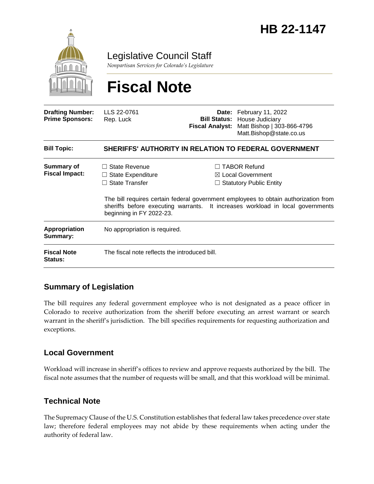

Legislative Council Staff

*Nonpartisan Services for Colorado's Legislature*

# **Fiscal Note**

| <b>Drafting Number:</b><br><b>Prime Sponsors:</b> | LLS 22-0761<br>Rep. Luck                                                                       | <b>Fiscal Analyst:</b> | Date: February 11, 2022<br><b>Bill Status: House Judiciary</b><br>Matt Bishop   303-866-4796<br>Matt.Bishop@state.co.us                                                                                                                                        |
|---------------------------------------------------|------------------------------------------------------------------------------------------------|------------------------|----------------------------------------------------------------------------------------------------------------------------------------------------------------------------------------------------------------------------------------------------------------|
| <b>Bill Topic:</b>                                | SHERIFFS' AUTHORITY IN RELATION TO FEDERAL GOVERNMENT                                          |                        |                                                                                                                                                                                                                                                                |
| <b>Summary of</b><br><b>Fiscal Impact:</b>        | State Revenue<br>$\Box$ State Expenditure<br>$\Box$ State Transfer<br>beginning in FY 2022-23. |                        | <b>TABOR Refund</b><br>$\boxtimes$ Local Government<br>$\Box$ Statutory Public Entity<br>The bill requires certain federal government employees to obtain authorization from<br>sheriffs before executing warrants. It increases workload in local governments |
| Appropriation<br>Summary:                         | No appropriation is required.                                                                  |                        |                                                                                                                                                                                                                                                                |
| <b>Fiscal Note</b><br><b>Status:</b>              | The fiscal note reflects the introduced bill.                                                  |                        |                                                                                                                                                                                                                                                                |

## **Summary of Legislation**

The bill requires any federal government employee who is not designated as a peace officer in Colorado to receive authorization from the sheriff before executing an arrest warrant or search warrant in the sheriff's jurisdiction. The bill specifies requirements for requesting authorization and exceptions.

## **Local Government**

Workload will increase in sheriff's offices to review and approve requests authorized by the bill. The fiscal note assumes that the number of requests will be small, and that this workload will be minimal.

## **Technical Note**

The Supremacy Clause of the U.S. Constitution establishes that federal law takes precedence over state law; therefore federal employees may not abide by these requirements when acting under the authority of federal law.